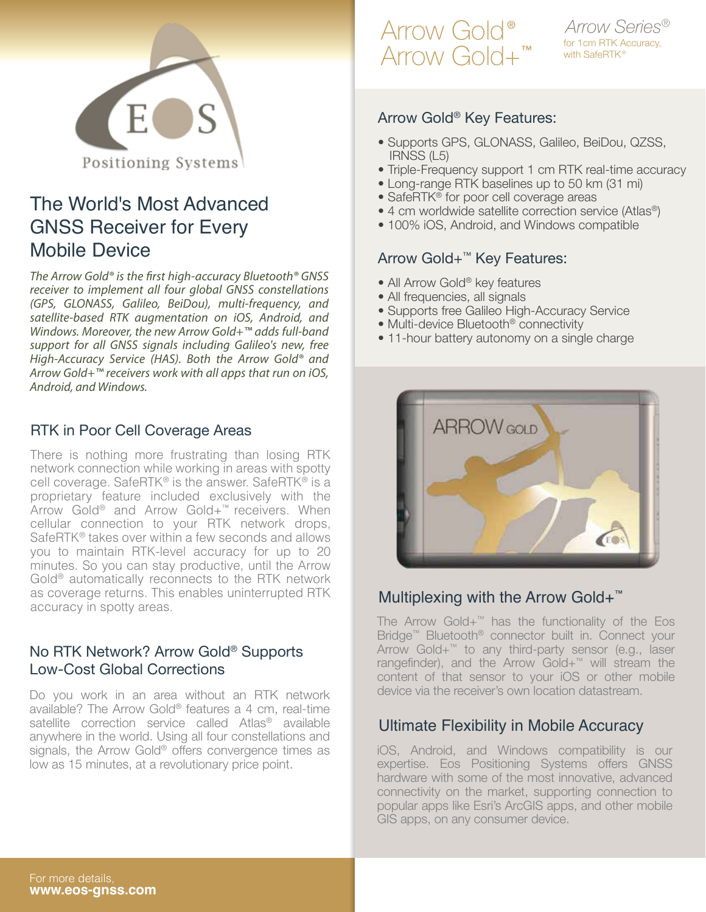

### The World's Most Advanced GNSS Receiver for Every Mobile Device

*The Arrow Gold® is the first high-accuracy Bluetooth® GNSS receiver to implement all four global GNSS constellations (GPS, GLONASS, Galileo, BeiDou), multi-frequency, and satellite-based RTK augmentation on iOS, Android, and Windows. Moreover, the new Arrow Gold+™ adds full-band support for all GNSS signals including Galileo's new, free High-Accuracy Service (HAS). Both the Arrow Gold® and Arrow Gold+™ receivers work with all apps that run on iOS, Android, and Windows.*

#### RTK in Poor Cell Coverage Areas

There is nothing more frustrating than losing RTK network connection while working in areas with spotty cell coverage. SafeRTK® is the answer. SafeRTK® is a proprietary feature included exclusively with the Arrow Gold® and Arrow Gold+™ receivers. When cellular connection to your RTK network drops, SafeRTK® takes over within a few seconds and allows you to maintain RTK-level accuracy for up to 20 minutes. So you can stay productive, until the Arrow Gold® automatically reconnects to the RTK network as coverage returns. This enables uninterrupted RTK accuracy in spotty areas.

### No RTK Network? Arrow Gold® Supports Low-Cost Global Corrections

Do you work in an area without an RTK network available? The Arrow Gold® features a 4 cm, real-time satellite correction service called Atlas<sup>®</sup> available anywhere in the world. Using all four constellations and signals, the Arrow Gold® offers convergence times as low as 15 minutes, at a revolutionary price point.

## Arrow Gold® Arrow Gold+™

for 1cm RTK Accuracy, with SafeRTK<sup>®</sup> *Arrow Series®*

#### Arrow Gold® Key Features:

- Supports GPS, GLONASS, Galileo, BeiDou, QZSS, IRNSS (L5)
- Triple-Frequency support 1 cm RTK real-time accuracy
- Long-range RTK baselines up to 50 km (31 mi)
- SafeRTK<sup>®</sup> for poor cell coverage areas
- 4 cm worldwide satellite correction service (Atlas®)
- 100% iOS, Android, and Windows compatible

### Arrow Gold+™ Key Features:

- All Arrow Gold® key features
- All frequencies, all signals
- Supports free Galileo High-Accuracy Service
- Multi-device Bluetooth® connectivity
- 11-hour battery autonomy on a single charge



### Multiplexing with the Arrow Gold+<sup>™</sup>

The Arrow Gold+™ has the functionality of the Eos Bridge™ Bluetooth® connector built in. Connect your Arrow Gold+™ to any third-party sensor (e.g., laser rangefinder), and the Arrow Gold+™ will stream the content of that sensor to your iOS or other mobile device via the receiver's own location datastream.

### Ultimate Flexibility in Mobile Accuracy

iOS, Android, and Windows compatibility is our expertise. Eos Positioning Systems offers GNSS hardware with some of the most innovative, advanced connectivity on the market, supporting connection to popular apps like Esri's ArcGIS apps, and other mobile GIS apps, on any consumer device.